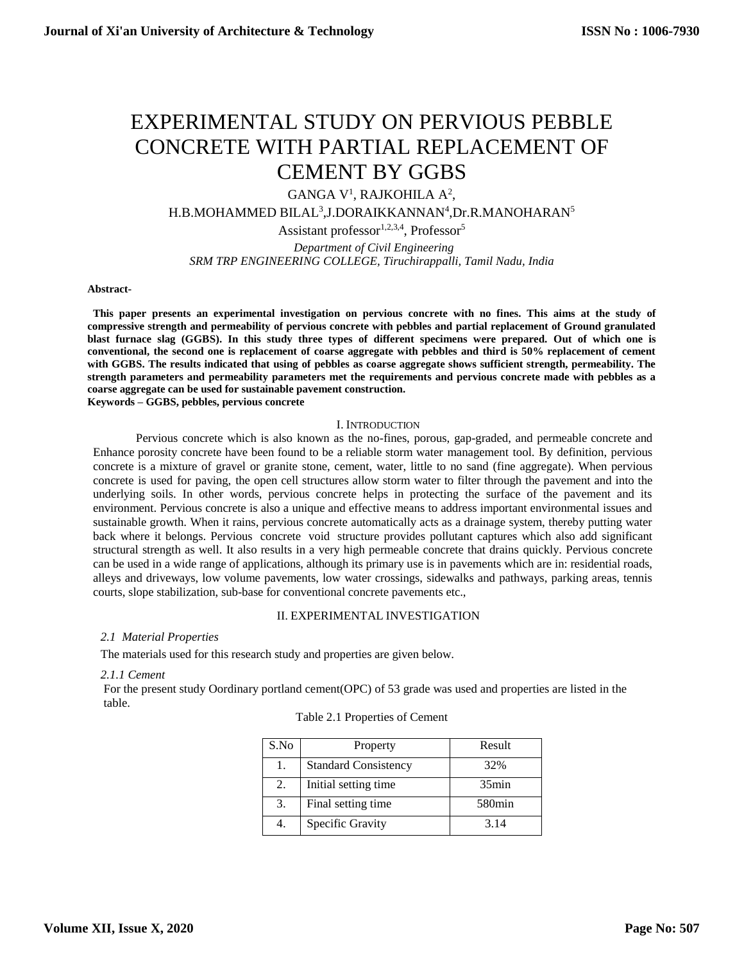# EXPERIMENTAL STUDY ON PERVIOUS PEBBLE CONCRETE WITH PARTIAL REPLACEMENT OF CEMENT BY GGBS

GANGA V<sup>1</sup>, RAJKOHILA A<sup>2</sup>,

H.B.MOHAMMED BILAL<sup>3</sup>,J.DORAIKKANNAN<sup>4</sup>,Dr.R.MANOHARAN<sup>5</sup>

Assistant professor $1,2,3,4$ , Professor $5$ 

 *Department of Civil Engineering SRM TRP ENGINEERING COLLEGE, Tiruchirappalli, Tamil Nadu, India*

#### **Abstract-**

 **This paper presents an experimental investigation on pervious concrete with no fines. This aims at the study of compressive strength and permeability of pervious concrete with pebbles and partial replacement of Ground granulated blast furnace slag (GGBS). In this study three types of different specimens were prepared. Out of which one is conventional, the second one is replacement of coarse aggregate with pebbles and third is 50% replacement of cement with GGBS. The results indicated that using of pebbles as coarse aggregate shows sufficient strength, permeability. The strength parameters and permeability parameters met the requirements and pervious concrete made with pebbles as a coarse aggregate can be used for sustainable pavement construction.**

**Keywords – GGBS, pebbles, pervious concrete**

#### I. INTRODUCTION

Pervious concrete which is also known as the no-fines, porous, gap-graded, and permeable concrete and Enhance porosity concrete have been found to be a reliable storm water management tool. By definition, pervious concrete is a mixture of gravel or granite stone, cement, water, little to no sand (fine aggregate). When pervious concrete is used for paving, the open cell structures allow storm water to filter through the pavement and into the underlying soils. In other words, pervious concrete helps in protecting the surface of the pavement and its environment. Pervious concrete is also a unique and effective means to address important environmental issues and sustainable growth. When it rains, pervious concrete automatically acts as a drainage system, thereby putting water back where it belongs. Pervious concrete void structure provides pollutant captures which also add significant structural strength as well. It also results in a very high permeable concrete that drains quickly. Pervious concrete can be used in a wide range of applications, although its primary use is in pavements which are in: residential roads, alleys and driveways, low volume pavements, low water crossings, sidewalks and pathways, parking areas, tennis courts, slope stabilization, sub-base for conventional concrete pavements etc.,

## II. EXPERIMENTAL INVESTIGATION

## *2.1 Material Properties*

The materials used for this research study and properties are given below.

## *2.1.1 Cement*

For the present study Oordinary portland cement(OPC) of 53 grade was used and properties are listed in the table.

## Table 2.1 Properties of Cement

| S.No | Property                    | Result             |
|------|-----------------------------|--------------------|
| 1.   | <b>Standard Consistency</b> | 32%                |
| 2.   | Initial setting time        | 35min              |
| 3.   | Final setting time          | 580 <sub>min</sub> |
| 4.   | Specific Gravity            | 3.14               |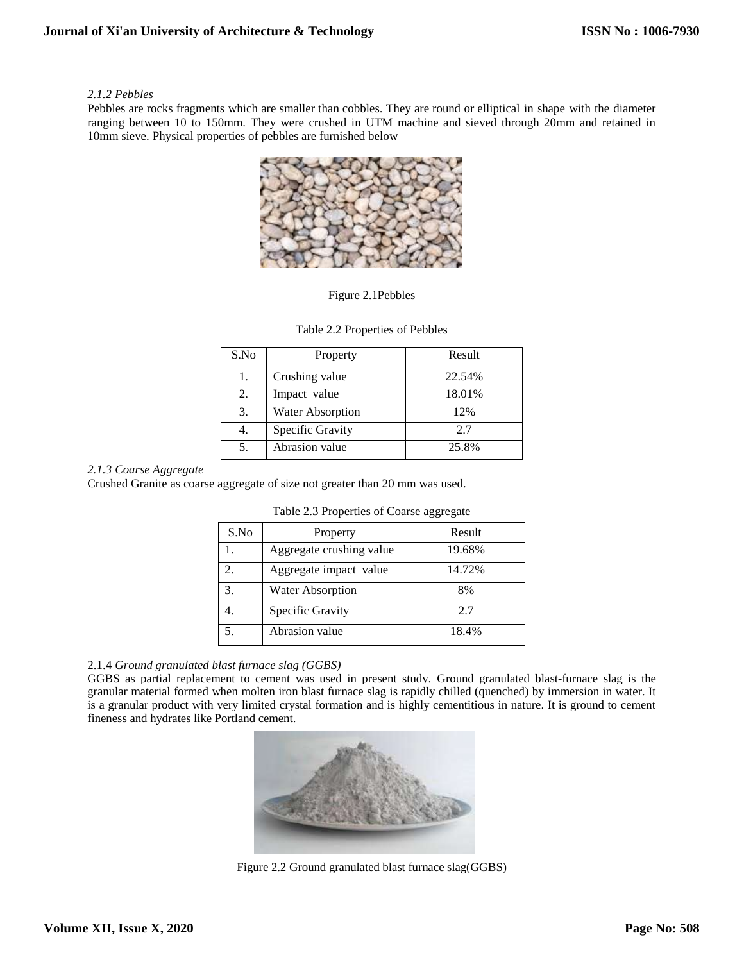## *2.1.2 Pebbles*

Pebbles are rocks fragments which are smaller than cobbles. They are round or elliptical in shape with the diameter ranging between 10 to 150mm. They were crushed in UTM machine and sieved through 20mm and retained in 10mm sieve. Physical properties of pebbles are furnished below



Figure 2.1Pebbles

| S.No | Property                | Result |
|------|-------------------------|--------|
| Ι.   | Crushing value          | 22.54% |
| 2.   | Impact value            | 18.01% |
| 3.   | <b>Water Absorption</b> | 12%    |
|      | Specific Gravity        | 2.7    |
|      | Abrasion value          | 25.8%  |

## Table 2.2 Properties of Pebbles

## *2.1.3 Coarse Aggregate*

Crushed Granite as coarse aggregate of size not greater than 20 mm was used.

| S.No                        | Property                 | Result |
|-----------------------------|--------------------------|--------|
|                             | Aggregate crushing value | 19.68% |
| $\mathcal{D}_{\mathcal{L}}$ | Aggregate impact value   | 14.72% |
| 3.                          | <b>Water Absorption</b>  | 8%     |
|                             | Specific Gravity         | 2.7    |
|                             | Abrasion value           | 18.4%  |

| Table 2.3 Properties of Coarse aggregate |  |  |  |
|------------------------------------------|--|--|--|
|------------------------------------------|--|--|--|

## 2.1.4 *Ground granulated blast furnace slag (GGBS)*

GGBS as partial replacement to cement was used in present study. Ground granulated blast-furnace slag is the granular material formed when molten iron blast furnace slag is rapidly chilled (quenched) by immersion in water. It is a granular product with very limited crystal formation and is highly cementitious in nature. It is ground to cement fineness and hydrates like Portland cement.



Figure 2.2 Ground granulated blast furnace slag(GGBS)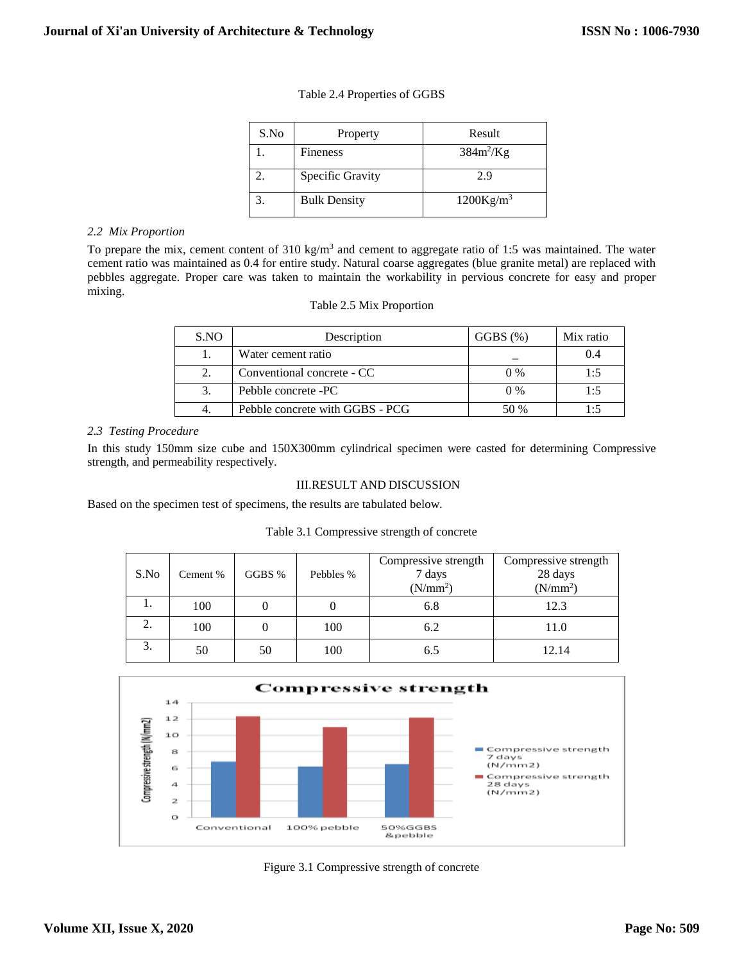| S.No | Property            | Result       |
|------|---------------------|--------------|
|      | Fineness            | $384m^2/Kg$  |
|      | Specific Gravity    | 2.9          |
|      | <b>Bulk Density</b> | $1200Kg/m^3$ |

## Table 2.4 Properties of GGBS

#### *2.2 Mix Proportion*

To prepare the mix, cement content of  $310 \text{ kg/m}^3$  and cement to aggregate ratio of 1:5 was maintained. The water cement ratio was maintained as 0.4 for entire study. Natural coarse aggregates (blue granite metal) are replaced with pebbles aggregate. Proper care was taken to maintain the workability in pervious concrete for easy and proper mixing.

#### Table 2.5 Mix Proportion

| S.NO | Description                     | $GGBS \ (\%)$ | Mix ratio |
|------|---------------------------------|---------------|-----------|
|      | Water cement ratio              |               | 0.4       |
|      | Conventional concrete - CC      | $0\%$         | 1:5       |
|      | Pebble concrete -PC             | $0\%$         | 1:5       |
|      | Pebble concrete with GGBS - PCG | 50 %          | 1۰5       |

## *2.3 Testing Procedure*

In this study 150mm size cube and 150X300mm cylindrical specimen were casted for determining Compressive strength, and permeability respectively.

## III.RESULT AND DISCUSSION

Based on the specimen test of specimens, the results are tabulated below.

## Table 3.1 Compressive strength of concrete

| S.No | Cement % | GGBS % | Pebbles % | Compressive strength<br>7 days<br>(N/mm <sup>2</sup> ) | Compressive strength<br>28 days<br>(N/mm <sup>2</sup> ) |
|------|----------|--------|-----------|--------------------------------------------------------|---------------------------------------------------------|
| 1.   | 100      |        |           | 6.8                                                    | 12.3                                                    |
| ۷.   | 100      |        | 100       | 6.2                                                    | 11.0                                                    |
| 3.   | 50       | 50     | 100       | 6.5                                                    | 12.14                                                   |



Figure 3.1 Compressive strength of concrete